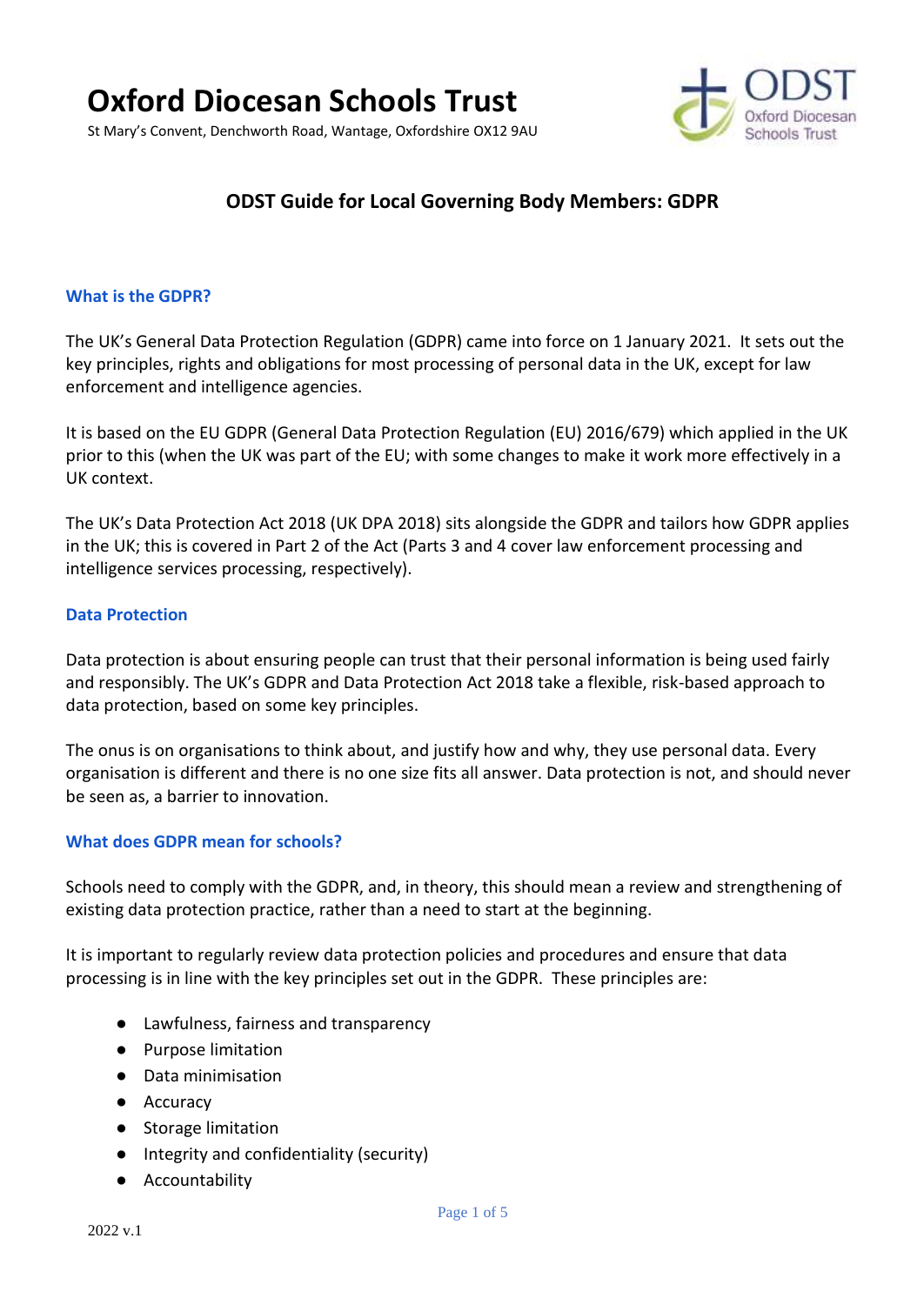



# **ODST Guide for Local Governing Body Members: GDPR**

#### **What is the GDPR?**

The UK's General Data Protection Regulation (GDPR) came into force on 1 January 2021. It sets out the key principles, rights and obligations for most processing of personal data in the UK, except for law enforcement and intelligence agencies.

It is based on the EU GDPR (General Data Protection Regulation (EU) 2016/679) which applied in the UK prior to this (when the UK was part of the EU; with some changes to make it work more effectively in a UK context.

The UK's Data Protection Act 2018 (UK DPA 2018) sits alongside the GDPR and tailors how GDPR applies in the UK; this is covered in Part 2 of the Act (Parts 3 and 4 cover law enforcement processing and intelligence services processing, respectively).

#### **Data Protection**

Data protection is about ensuring people can trust that their personal information is being used fairly and responsibly. The UK's GDPR and Data Protection Act 2018 take a flexible, risk-based approach to data protection, based on some key principles.

The onus is on organisations to think about, and justify how and why, they use personal data. Every organisation is different and there is no one size fits all answer. Data protection is not, and should never be seen as, a barrier to innovation.

#### **What does GDPR mean for schools?**

Schools need to comply with the GDPR, and, in theory, this should mean a review and strengthening of existing data protection practice, rather than a need to start at the beginning.

It is important to regularly review data protection policies and procedures and ensure that data processing is in line with the key principles set out in the GDPR. These principles are:

- Lawfulness, fairness and transparency
- Purpose limitation
- Data minimisation
- Accuracy
- Storage limitation
- Integrity and confidentiality (security)
- Accountability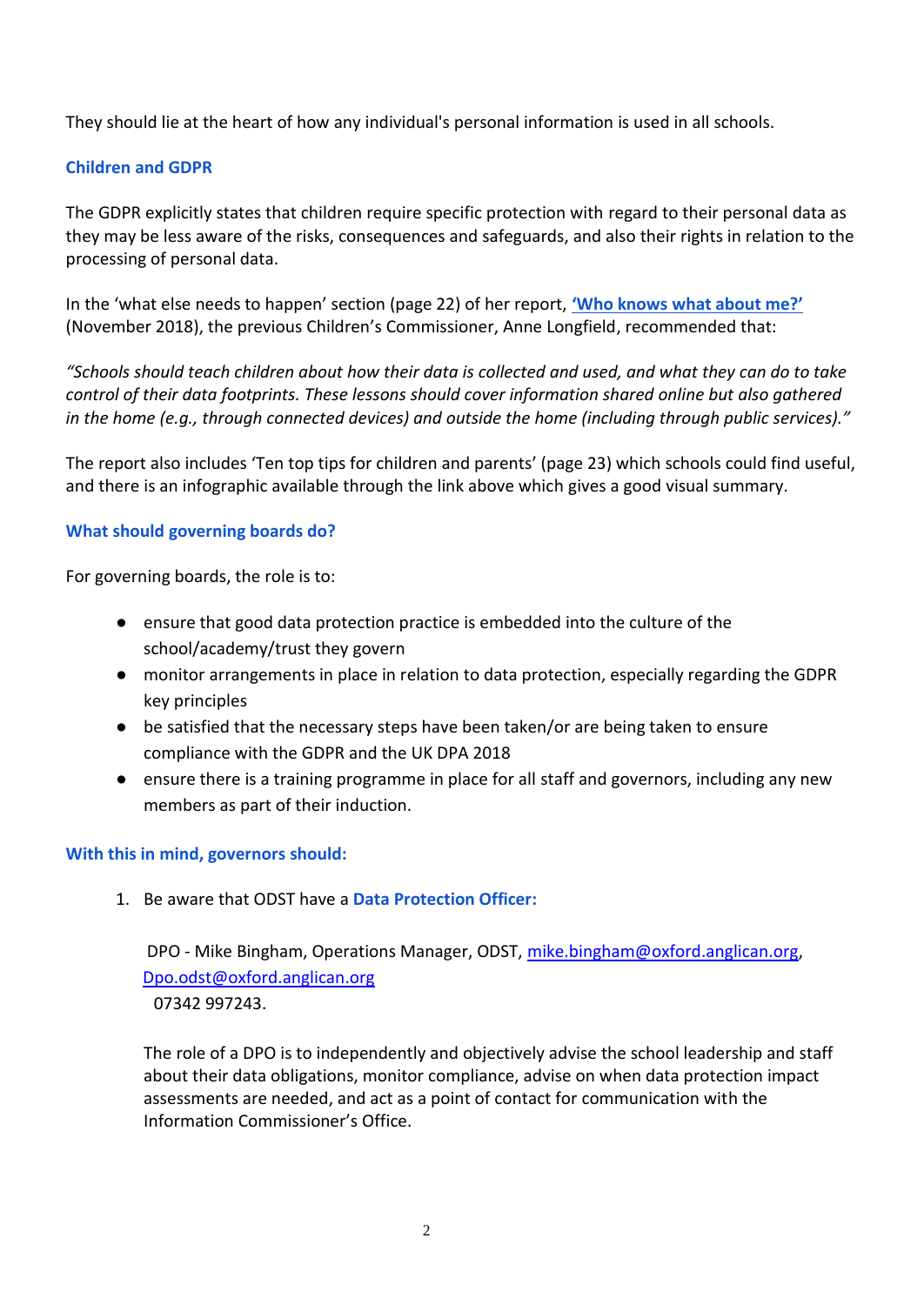They should lie at the heart of how any individual's personal information is used in all schools.

# **Children and GDPR**

The GDPR explicitly states that children require specific protection with regard to their personal data as they may be less aware of the risks, consequences and safeguards, and also their rights in relation to the processing of personal data.

In the 'what else needs to happen' section (page 22) of her report, **['Who knows what about me?'](https://www.childrenscommissioner.gov.uk/report/who-knows-what-about-me/)** (November 2018), the previous Children's Commissioner, Anne Longfield, recommended that:

*"Schools should teach children about how their data is collected and used, and what they can do to take control of their data footprints. These lessons should cover information shared online but also gathered in the home (e.g., through connected devices) and outside the home (including through public services)."* 

The report also includes 'Ten top tips for children and parents' (page 23) which schools could find useful, and there is an infographic available through the link above which gives a good visual summary.

## **What should governing boards do?**

For governing boards, the role is to:

- ensure that good data protection practice is embedded into the culture of the school/academy/trust they govern
- monitor arrangements in place in relation to data protection, especially regarding the GDPR key principles
- be satisfied that the necessary steps have been taken/or are being taken to ensure compliance with the GDPR and the UK DPA 2018
- ensure there is a training programme in place for all staff and governors, including any new members as part of their induction.

## **With this in mind, governors should:**

1. Be aware that ODST have a **Data Protection Officer:**

DPO - Mike Bingham, Operations Manager, ODST, [mike.bingham@oxford.anglican.org,](mailto:mike.bingham@oxford.anglican.org) [Dpo.odst@oxford.anglican.org](mailto:Dpo.odst@oxford.anglican.org) 07342 997243.

The role of a DPO is to independently and objectively advise the school leadership and staff about their data obligations, monitor compliance, advise on when data protection impact assessments are needed, and act as a point of contact for communication with the Information Commissioner's Office.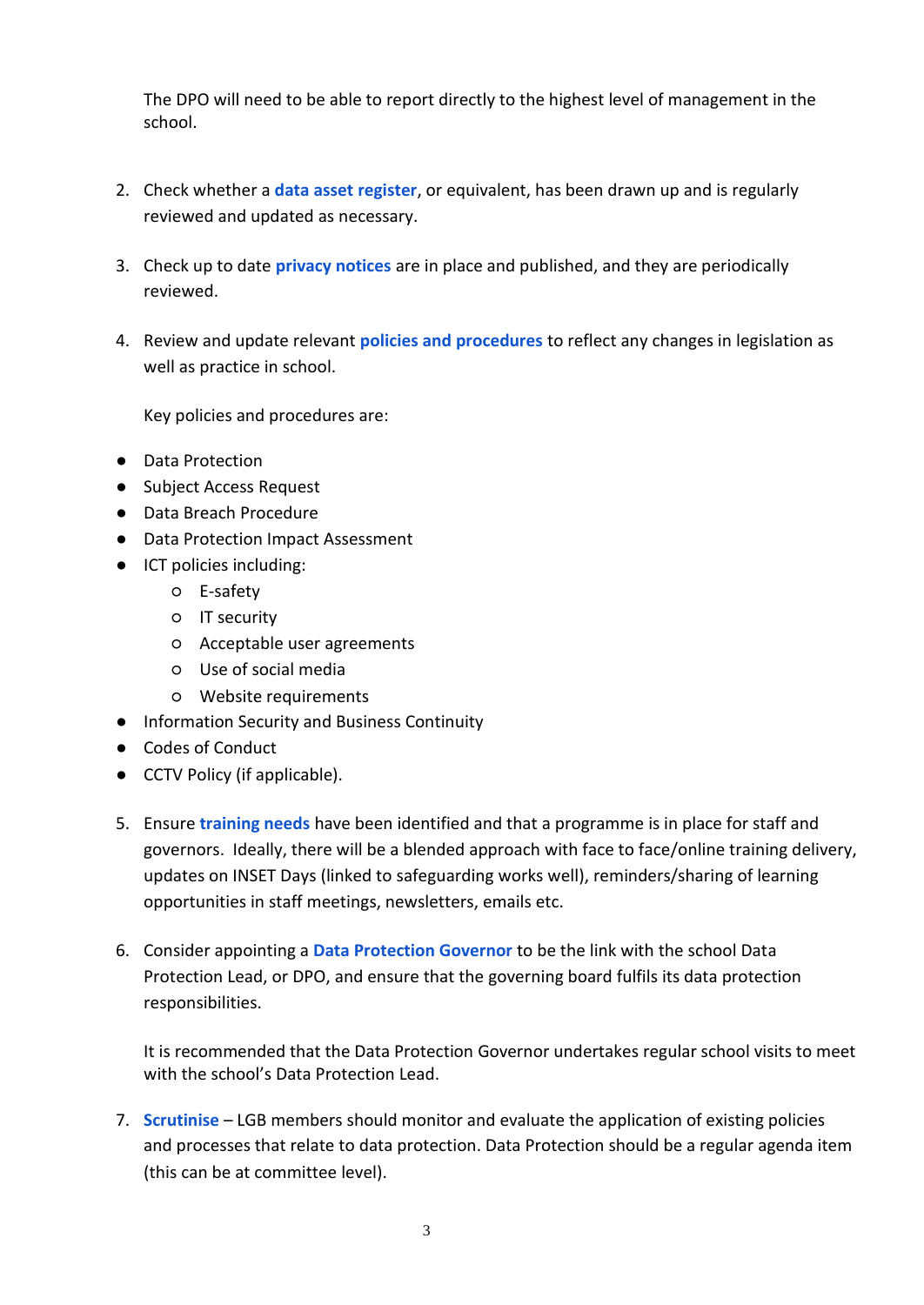The DPO will need to be able to report directly to the highest level of management in the school.

- 2. Check whether a **data asset register**, or equivalent, has been drawn up and is regularly reviewed and updated as necessary.
- 3. Check up to date **privacy notices** are in place and published, and they are periodically reviewed.
- 4. Review and update relevant **policies and procedures** to reflect any changes in legislation as well as practice in school.

Key policies and procedures are:

- Data Protection
- Subject Access Request
- Data Breach Procedure
- Data Protection Impact Assessment
- ICT policies including:
	- E-safety
	- IT security
	- Acceptable user agreements
	- Use of social media
	- Website requirements
- Information Security and Business Continuity
- Codes of Conduct
- CCTV Policy (if applicable).
- 5. Ensure **training needs** have been identified and that a programme is in place for staff and governors. Ideally, there will be a blended approach with face to face/online training delivery, updates on INSET Days (linked to safeguarding works well), reminders/sharing of learning opportunities in staff meetings, newsletters, emails etc.
- 6. Consider appointing a **Data Protection Governor** to be the link with the school Data Protection Lead, or DPO, and ensure that the governing board fulfils its data protection responsibilities.

It is recommended that the Data Protection Governor undertakes regular school visits to meet with the school's Data Protection Lead.

7. **Scrutinise** – LGB members should monitor and evaluate the application of existing policies and processes that relate to data protection. Data Protection should be a regular agenda item (this can be at committee level).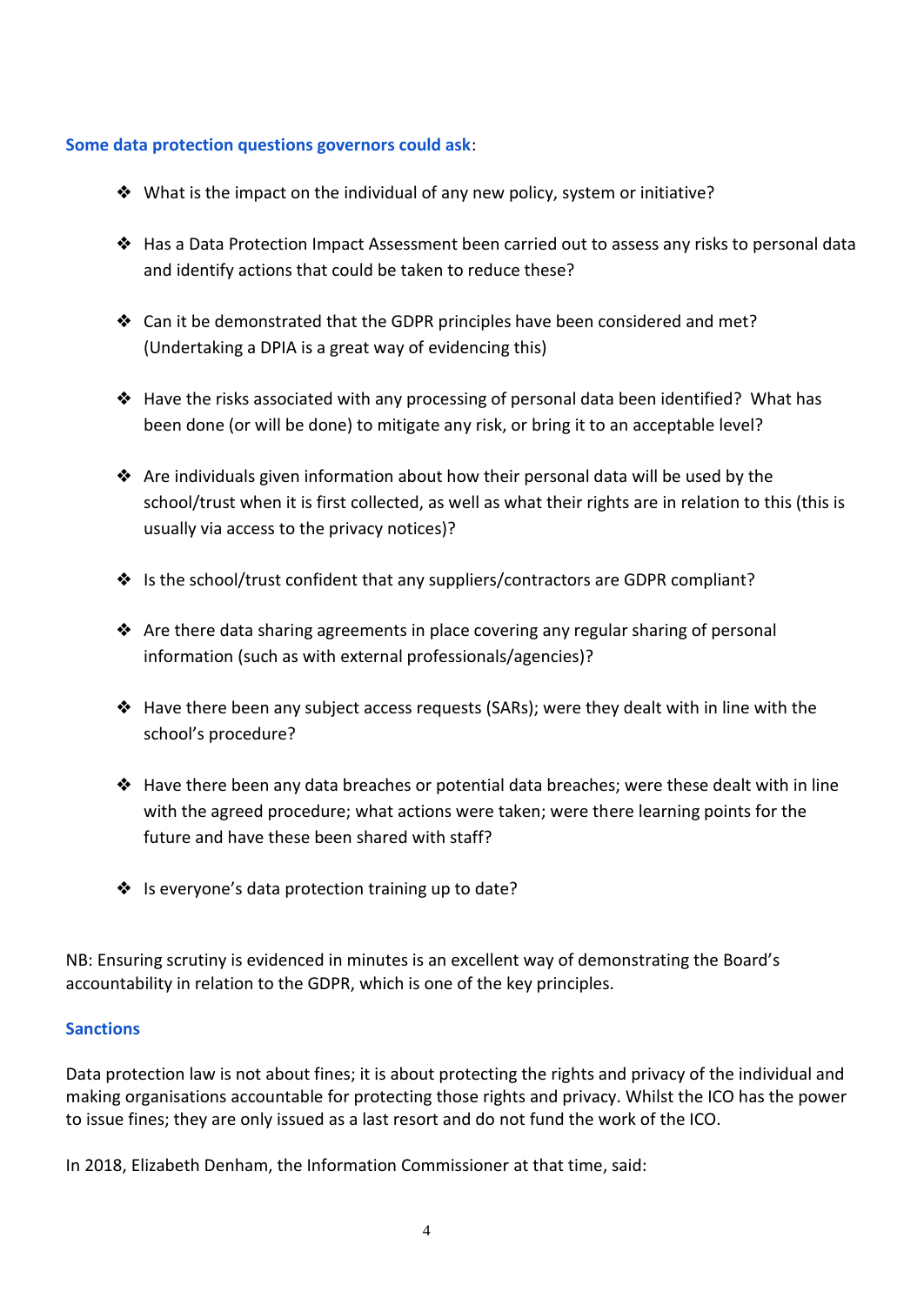#### **Some data protection questions governors could ask**:

- ❖ What is the impact on the individual of any new policy, system or initiative?
- ❖ Has a Data Protection Impact Assessment been carried out to assess any risks to personal data and identify actions that could be taken to reduce these?
- ❖ Can it be demonstrated that the GDPR principles have been considered and met? (Undertaking a DPIA is a great way of evidencing this)
- ❖ Have the risks associated with any processing of personal data been identified? What has been done (or will be done) to mitigate any risk, or bring it to an acceptable level?
- ◆ Are individuals given information about how their personal data will be used by the school/trust when it is first collected, as well as what their rights are in relation to this (this is usually via access to the privacy notices)?
- ❖ Is the school/trust confident that any suppliers/contractors are GDPR compliant?
- ❖ Are there data sharing agreements in place covering any regular sharing of personal information (such as with external professionals/agencies)?
- ❖ Have there been any subject access requests (SARs); were they dealt with in line with the school's procedure?
- $\triangle$  Have there been any data breaches or potential data breaches; were these dealt with in line with the agreed procedure; what actions were taken; were there learning points for the future and have these been shared with staff?
- ❖ Is everyone's data protection training up to date?

NB: Ensuring scrutiny is evidenced in minutes is an excellent way of demonstrating the Board's accountability in relation to the GDPR, which is one of the key principles.

## **Sanctions**

Data protection law is not about fines; it is about protecting the rights and privacy of the individual and making organisations accountable for protecting those rights and privacy. Whilst the ICO has the power to issue fines; they are only issued as a last resort and do not fund the work of the ICO.

In 2018, Elizabeth Denham, the Information Commissioner at that time, said: